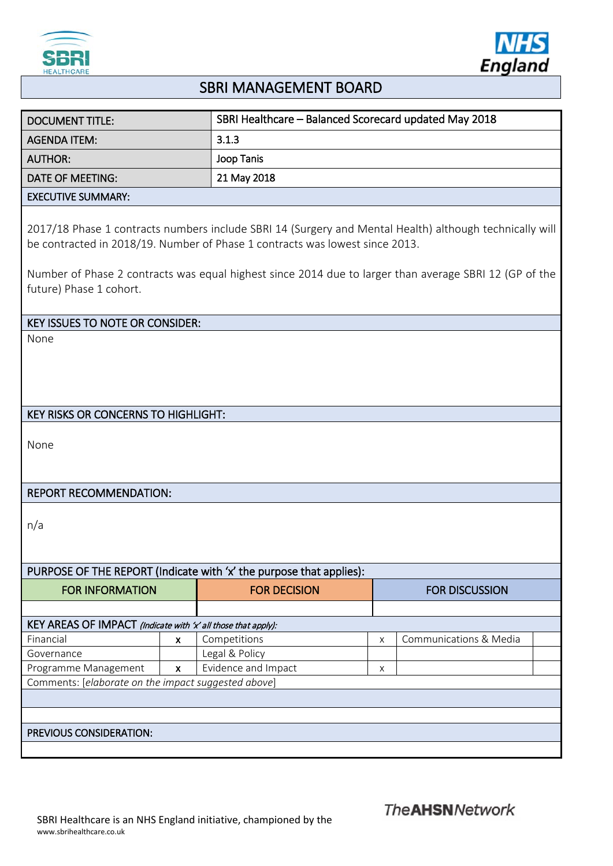



## SBRI MANAGEMENT BOARD

| <b>DOCUMENT TITLE:</b>                                                                                                                                                                                                                                                                            | SBRI Healthcare - Balanced Scorecard updated May 2018 |   |                        |  |  |  |
|---------------------------------------------------------------------------------------------------------------------------------------------------------------------------------------------------------------------------------------------------------------------------------------------------|-------------------------------------------------------|---|------------------------|--|--|--|
| <b>AGENDA ITEM:</b>                                                                                                                                                                                                                                                                               | 3.1.3                                                 |   |                        |  |  |  |
| <b>AUTHOR:</b>                                                                                                                                                                                                                                                                                    | Joop Tanis                                            |   |                        |  |  |  |
| <b>DATE OF MEETING:</b>                                                                                                                                                                                                                                                                           | 21 May 2018                                           |   |                        |  |  |  |
| <b>EXECUTIVE SUMMARY:</b>                                                                                                                                                                                                                                                                         |                                                       |   |                        |  |  |  |
| 2017/18 Phase 1 contracts numbers include SBRI 14 (Surgery and Mental Health) although technically will<br>be contracted in 2018/19. Number of Phase 1 contracts was lowest since 2013.<br>Number of Phase 2 contracts was equal highest since 2014 due to larger than average SBRI 12 (GP of the |                                                       |   |                        |  |  |  |
| future) Phase 1 cohort.                                                                                                                                                                                                                                                                           |                                                       |   |                        |  |  |  |
| <b>KEY ISSUES TO NOTE OR CONSIDER:</b>                                                                                                                                                                                                                                                            |                                                       |   |                        |  |  |  |
| None                                                                                                                                                                                                                                                                                              |                                                       |   |                        |  |  |  |
|                                                                                                                                                                                                                                                                                                   |                                                       |   |                        |  |  |  |
|                                                                                                                                                                                                                                                                                                   |                                                       |   |                        |  |  |  |
|                                                                                                                                                                                                                                                                                                   |                                                       |   |                        |  |  |  |
| <b>KEY RISKS OR CONCERNS TO HIGHLIGHT:</b>                                                                                                                                                                                                                                                        |                                                       |   |                        |  |  |  |
| None                                                                                                                                                                                                                                                                                              |                                                       |   |                        |  |  |  |
| <b>REPORT RECOMMENDATION:</b>                                                                                                                                                                                                                                                                     |                                                       |   |                        |  |  |  |
| n/a                                                                                                                                                                                                                                                                                               |                                                       |   |                        |  |  |  |
| PURPOSE OF THE REPORT (Indicate with 'x' the purpose that applies):                                                                                                                                                                                                                               |                                                       |   |                        |  |  |  |
| <b>FOR INFORMATION</b>                                                                                                                                                                                                                                                                            | <b>FOR DECISION</b>                                   |   | <b>FOR DISCUSSION</b>  |  |  |  |
|                                                                                                                                                                                                                                                                                                   |                                                       |   |                        |  |  |  |
| KEY AREAS OF IMPACT (Indicate with 'x' all those that apply):                                                                                                                                                                                                                                     |                                                       |   |                        |  |  |  |
| Financial<br>$\pmb{\mathsf{x}}$                                                                                                                                                                                                                                                                   | Competitions                                          | X | Communications & Media |  |  |  |
| Governance                                                                                                                                                                                                                                                                                        | Legal & Policy                                        |   |                        |  |  |  |
| Programme Management<br>$\pmb{\times}$                                                                                                                                                                                                                                                            | Evidence and Impact                                   | X |                        |  |  |  |
| Comments: [elaborate on the impact suggested above]                                                                                                                                                                                                                                               |                                                       |   |                        |  |  |  |
|                                                                                                                                                                                                                                                                                                   |                                                       |   |                        |  |  |  |
|                                                                                                                                                                                                                                                                                                   |                                                       |   |                        |  |  |  |
| PREVIOUS CONSIDERATION:                                                                                                                                                                                                                                                                           |                                                       |   |                        |  |  |  |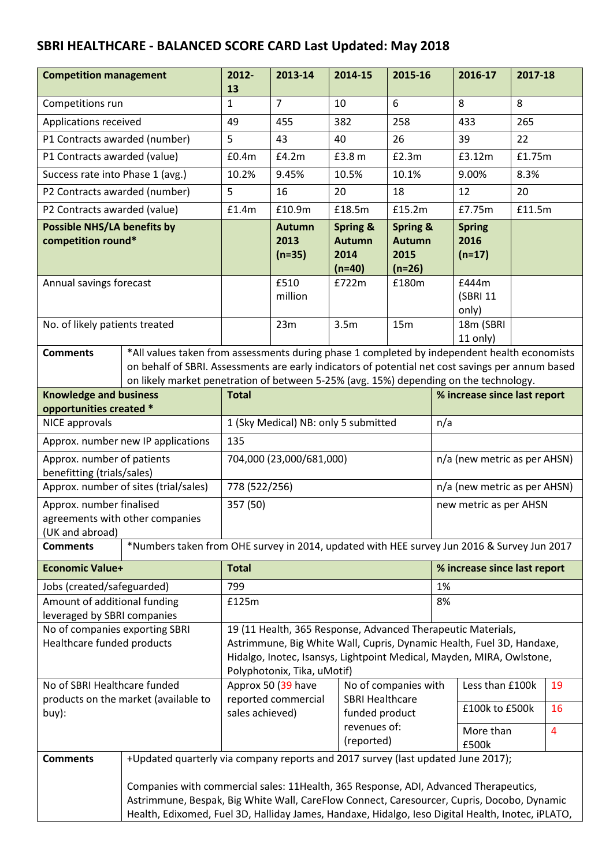## **SBRI HEALTHCARE - BALANCED SCORE CARD Last Updated: May 2018**

| <b>Competition management</b>                                                                                                                                                                                                                                                           |                                                                                                                                                                                                                                                                                 | 2012-<br>13                                                                                                                                                                                                                                                                                | 2013-14                           | 2014-15                                                    | 2015-16                                                  |                              | 2016-17                           | 2017-18 |                |
|-----------------------------------------------------------------------------------------------------------------------------------------------------------------------------------------------------------------------------------------------------------------------------------------|---------------------------------------------------------------------------------------------------------------------------------------------------------------------------------------------------------------------------------------------------------------------------------|--------------------------------------------------------------------------------------------------------------------------------------------------------------------------------------------------------------------------------------------------------------------------------------------|-----------------------------------|------------------------------------------------------------|----------------------------------------------------------|------------------------------|-----------------------------------|---------|----------------|
| Competitions run                                                                                                                                                                                                                                                                        |                                                                                                                                                                                                                                                                                 | $\mathbf 1$                                                                                                                                                                                                                                                                                | $\overline{7}$                    | 10                                                         | 6                                                        |                              | 8                                 | 8       |                |
| Applications received                                                                                                                                                                                                                                                                   |                                                                                                                                                                                                                                                                                 | 49                                                                                                                                                                                                                                                                                         | 455                               | 382                                                        | 258                                                      |                              | 433                               | 265     |                |
| P1 Contracts awarded (number)                                                                                                                                                                                                                                                           |                                                                                                                                                                                                                                                                                 | 5                                                                                                                                                                                                                                                                                          | 43                                | 40                                                         | 26                                                       |                              | 39                                | 22      |                |
| P1 Contracts awarded (value)                                                                                                                                                                                                                                                            |                                                                                                                                                                                                                                                                                 | £0.4m                                                                                                                                                                                                                                                                                      | £4.2m                             | £3.8 m                                                     | E2.3m                                                    |                              | £3.12m                            | £1.75m  |                |
| Success rate into Phase 1 (avg.)                                                                                                                                                                                                                                                        |                                                                                                                                                                                                                                                                                 | 10.2%                                                                                                                                                                                                                                                                                      | 9.45%                             | 10.5%                                                      | 10.1%                                                    |                              | 9.00%                             | 8.3%    |                |
| P2 Contracts awarded (number)                                                                                                                                                                                                                                                           |                                                                                                                                                                                                                                                                                 | 5                                                                                                                                                                                                                                                                                          | 16                                | 20                                                         | 18                                                       |                              | 12                                | 20      |                |
|                                                                                                                                                                                                                                                                                         | P2 Contracts awarded (value)                                                                                                                                                                                                                                                    |                                                                                                                                                                                                                                                                                            | £10.9m                            | £18.5m                                                     | £15.2m                                                   |                              | £7.75m                            | £11.5m  |                |
| <b>Possible NHS/LA benefits by</b><br>competition round*                                                                                                                                                                                                                                |                                                                                                                                                                                                                                                                                 |                                                                                                                                                                                                                                                                                            | <b>Autumn</b><br>2013<br>$(n=35)$ | <b>Spring &amp;</b><br><b>Autumn</b><br>2014<br>$(n=40)$   | <b>Spring &amp;</b><br><b>Autumn</b><br>2015<br>$(n=26)$ |                              | <b>Spring</b><br>2016<br>$(n=17)$ |         |                |
| Annual savings forecast                                                                                                                                                                                                                                                                 |                                                                                                                                                                                                                                                                                 |                                                                                                                                                                                                                                                                                            | £510<br>million                   | £722m                                                      | £180m                                                    |                              | £444m<br>(SBRI 11<br>only)        |         |                |
| No. of likely patients treated                                                                                                                                                                                                                                                          |                                                                                                                                                                                                                                                                                 |                                                                                                                                                                                                                                                                                            | 23m                               | 3.5m                                                       | 15m                                                      |                              | 18m (SBRI<br>11 only)             |         |                |
| <b>Comments</b>                                                                                                                                                                                                                                                                         |                                                                                                                                                                                                                                                                                 | *All values taken from assessments during phase 1 completed by independent health economists<br>on behalf of SBRI. Assessments are early indicators of potential net cost savings per annum based<br>on likely market penetration of between 5-25% (avg. 15%) depending on the technology. |                                   |                                                            |                                                          |                              |                                   |         |                |
| <b>Knowledge and business</b><br>opportunities created *                                                                                                                                                                                                                                |                                                                                                                                                                                                                                                                                 | <b>Total</b>                                                                                                                                                                                                                                                                               |                                   |                                                            |                                                          |                              | % increase since last report      |         |                |
| NICE approvals                                                                                                                                                                                                                                                                          |                                                                                                                                                                                                                                                                                 | 1 (Sky Medical) NB: only 5 submitted<br>n/a                                                                                                                                                                                                                                                |                                   |                                                            |                                                          |                              |                                   |         |                |
|                                                                                                                                                                                                                                                                                         | Approx. number new IP applications                                                                                                                                                                                                                                              | 135                                                                                                                                                                                                                                                                                        |                                   |                                                            |                                                          |                              |                                   |         |                |
| Approx. number of patients<br>benefitting (trials/sales)                                                                                                                                                                                                                                |                                                                                                                                                                                                                                                                                 | 704,000 (23,000/681,000)                                                                                                                                                                                                                                                                   |                                   |                                                            |                                                          | n/a (new metric as per AHSN) |                                   |         |                |
|                                                                                                                                                                                                                                                                                         | Approx. number of sites (trial/sales)                                                                                                                                                                                                                                           | 778 (522/256)                                                                                                                                                                                                                                                                              |                                   |                                                            | n/a (new metric as per AHSN)                             |                              |                                   |         |                |
| Approx. number finalised<br>(UK and abroad)                                                                                                                                                                                                                                             | agreements with other companies                                                                                                                                                                                                                                                 |                                                                                                                                                                                                                                                                                            | 357 (50)                          |                                                            |                                                          |                              | new metric as per AHSN            |         |                |
| *Numbers taken from OHE survey in 2014, updated with HEE survey Jun 2016 & Survey Jun 2017<br><b>Comments</b>                                                                                                                                                                           |                                                                                                                                                                                                                                                                                 |                                                                                                                                                                                                                                                                                            |                                   |                                                            |                                                          |                              |                                   |         |                |
| <b>Economic Value+</b>                                                                                                                                                                                                                                                                  |                                                                                                                                                                                                                                                                                 | <b>Total</b>                                                                                                                                                                                                                                                                               |                                   |                                                            |                                                          | % increase since last report |                                   |         |                |
| Jobs (created/safeguarded)                                                                                                                                                                                                                                                              |                                                                                                                                                                                                                                                                                 | 799                                                                                                                                                                                                                                                                                        |                                   |                                                            |                                                          | 1%                           |                                   |         |                |
| Amount of additional funding<br>leveraged by SBRI companies                                                                                                                                                                                                                             |                                                                                                                                                                                                                                                                                 | £125m                                                                                                                                                                                                                                                                                      |                                   |                                                            |                                                          | 8%                           |                                   |         |                |
| Healthcare funded products                                                                                                                                                                                                                                                              | No of companies exporting SBRI<br>19 (11 Health, 365 Response, Advanced Therapeutic Materials,<br>Astrimmune, Big White Wall, Cupris, Dynamic Health, Fuel 3D, Handaxe,<br>Hidalgo, Inotec, Isansys, Lightpoint Medical, Mayden, MIRA, Owlstone,<br>Polyphotonix, Tika, uMotif) |                                                                                                                                                                                                                                                                                            |                                   |                                                            |                                                          |                              |                                   |         |                |
| No of SBRI Healthcare funded                                                                                                                                                                                                                                                            |                                                                                                                                                                                                                                                                                 | Approx 50 (39 have<br>No of companies with<br>Less than £100k                                                                                                                                                                                                                              |                                   |                                                            | 19                                                       |                              |                                   |         |                |
| buy):                                                                                                                                                                                                                                                                                   | products on the market (available to                                                                                                                                                                                                                                            | sales achieved)                                                                                                                                                                                                                                                                            | reported commercial               | <b>SBRI Healthcare</b><br>£100k to £500k<br>funded product |                                                          | 16                           |                                   |         |                |
|                                                                                                                                                                                                                                                                                         |                                                                                                                                                                                                                                                                                 |                                                                                                                                                                                                                                                                                            |                                   | revenues of:<br>(reported)                                 |                                                          |                              | More than<br>£500k                |         | $\overline{4}$ |
| <b>Comments</b>                                                                                                                                                                                                                                                                         | +Updated quarterly via company reports and 2017 survey (last updated June 2017);                                                                                                                                                                                                |                                                                                                                                                                                                                                                                                            |                                   |                                                            |                                                          |                              |                                   |         |                |
| Companies with commercial sales: 11Health, 365 Response, ADI, Advanced Therapeutics,<br>Astrimmune, Bespak, Big White Wall, CareFlow Connect, Caresourcer, Cupris, Docobo, Dynamic<br>Health, Edixomed, Fuel 3D, Halliday James, Handaxe, Hidalgo, Ieso Digital Health, Inotec, iPLATO, |                                                                                                                                                                                                                                                                                 |                                                                                                                                                                                                                                                                                            |                                   |                                                            |                                                          |                              |                                   |         |                |